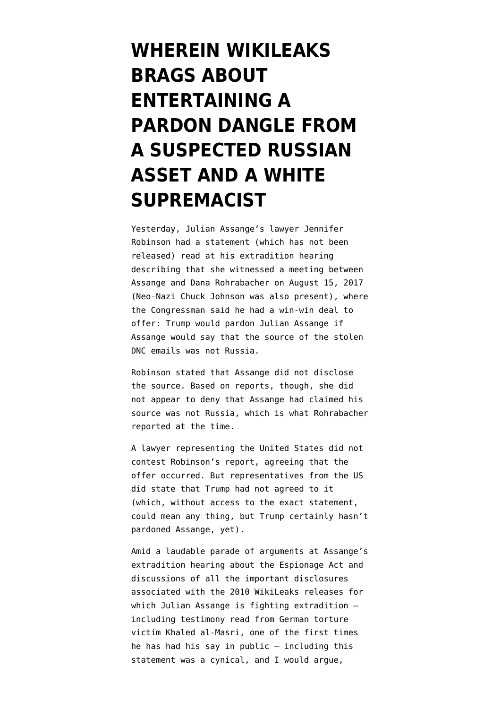## **[WHEREIN WIKILEAKS](https://www.emptywheel.net/2020/09/19/wherein-wikileaks-brags-about-entertaining-a-pardon-dangle-from-a-suspected-russian-asset-and-a-white-supremacist/) [BRAGS ABOUT](https://www.emptywheel.net/2020/09/19/wherein-wikileaks-brags-about-entertaining-a-pardon-dangle-from-a-suspected-russian-asset-and-a-white-supremacist/) [ENTERTAINING A](https://www.emptywheel.net/2020/09/19/wherein-wikileaks-brags-about-entertaining-a-pardon-dangle-from-a-suspected-russian-asset-and-a-white-supremacist/) [PARDON DANGLE FROM](https://www.emptywheel.net/2020/09/19/wherein-wikileaks-brags-about-entertaining-a-pardon-dangle-from-a-suspected-russian-asset-and-a-white-supremacist/) [A SUSPECTED RUSSIAN](https://www.emptywheel.net/2020/09/19/wherein-wikileaks-brags-about-entertaining-a-pardon-dangle-from-a-suspected-russian-asset-and-a-white-supremacist/) [ASSET AND A WHITE](https://www.emptywheel.net/2020/09/19/wherein-wikileaks-brags-about-entertaining-a-pardon-dangle-from-a-suspected-russian-asset-and-a-white-supremacist/) [SUPREMACIST](https://www.emptywheel.net/2020/09/19/wherein-wikileaks-brags-about-entertaining-a-pardon-dangle-from-a-suspected-russian-asset-and-a-white-supremacist/)**

Yesterday, Julian Assange's lawyer Jennifer Robinson had a statement (which has not been released) read at his extradition hearing describing that she witnessed a meeting between Assange and Dana Rohrabacher on August 15, 2017 (Neo-Nazi Chuck Johnson was also present), where the Congressman said he had a win-win deal to offer: Trump would pardon Julian Assange if Assange would say that the source of the stolen DNC emails was not Russia.

Robinson stated that Assange did not disclose the source. Based on reports, though, she did not appear to deny that Assange had claimed his source was not Russia, which is what Rohrabacher [reported at the time](https://web.archive.org/web/20181224200244/https://rohrabacher.house.gov/media-center/press-releases/rohrabacher-assange-says-russia-not-behind-dnc-email-leak).

A lawyer representing the United States did not contest Robinson's report, agreeing that the offer occurred. But representatives from the US did state that Trump had not agreed to it (which, without access to the exact statement, could mean any thing, but Trump certainly hasn't pardoned Assange, yet).

Amid a laudable parade of arguments at Assange's extradition hearing about the Espionage Act and discussions of all the important disclosures associated with the 2010 WikiLeaks releases for which Julian Assange is fighting extradition including [testimony read](https://defend.wikileaks.org/wp-content/uploads/2020/09/Khaled-el-Masri.pdf) from German torture victim Khaled al-Masri, one of the first times he has had his say in public — including this statement was a cynical, and I would argue,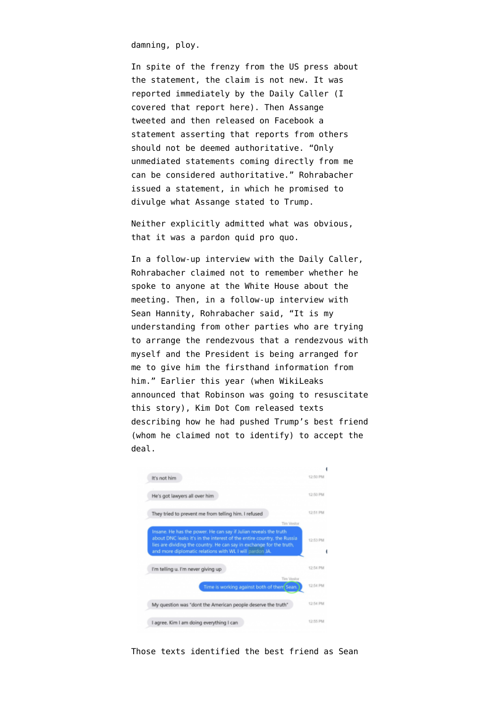damning, ploy.

In spite of the frenzy from the US press about the statement, the claim is not new. It was [reported immediately](https://dailycaller.com/2017/08/16/exclusive-republican-congressman-meets-with-wikileaks-founder-julian-assange/) by the Daily Caller [\(I](https://www.emptywheel.net/2017/08/17/dana-rohrabacher-brokering-deal-for-man-publishing-a-cia-exploit-every-week/) [covered that report here\)](https://www.emptywheel.net/2017/08/17/dana-rohrabacher-brokering-deal-for-man-publishing-a-cia-exploit-every-week/). Then Assange [tweeted](https://twitter.com/DefendAssange/status/898037184154017792) and then [released on Facebook](https://www.facebook.com/wikileaks/posts/1411910908844017) a statement asserting that reports from others should not be deemed authoritative. "Only unmediated statements coming directly from me can be considered authoritative." Rohrabacher [issued a statement,](https://web.archive.org/web/20181224200244/https://rohrabacher.house.gov/media-center/press-releases/rohrabacher-assange-says-russia-not-behind-dnc-email-leak) in which he promised to divulge what Assange stated to Trump.

Neither explicitly admitted what was obvious, that it was a pardon quid pro quo.

In [a follow-up interview](https://dailycaller.com/2017/08/17/exclusive-rohrabacher-says-assange-could-be-pardoned-for-info-about-dnc-leak-source/) with the Daily Caller, Rohrabacher claimed not to remember whether he spoke to anyone at the White House about the meeting. Then, in [a follow-up interview](https://www.emptywheel.net/2017/08/29/the-nameless-non-agents-arranging-rohrabachers-trump-meeting/) with Sean Hannity, Rohrabacher said, "It is my understanding from other parties who are trying to arrange the rendezvous that a rendezvous with myself and the President is being arranged for me to give him the firsthand information from him." Earlier this year (when WikiLeaks announced that Robinson was going to resuscitate this story), Kim Dot Com [released texts](https://www.emptywheel.net/2020/02/25/kim-dotcom-posts-evidence-trumps-best-friend-name-redacted-in-pardon-discussions/) describing how he had pushed Trump's best friend (whom he claimed not to identify) to accept the deal.



Those texts identified the best friend as Sean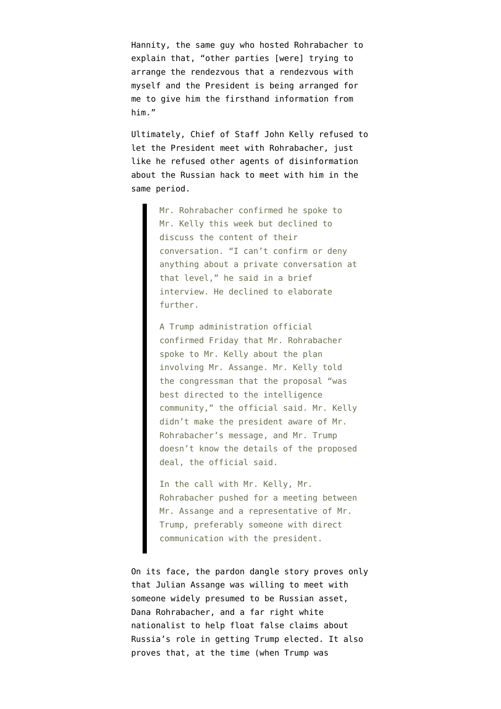Hannity, the same guy who hosted Rohrabacher to explain that, "other parties [were] trying to arrange the rendezvous that a rendezvous with myself and the President is being arranged for me to give him the firsthand information from him."

Ultimately, Chief of Staff John Kelly [refused](https://www.wsj.com/articles/gop-congressman-sought-trump-deal-on-wikileaks-russia-1505509918) to let the President meet with Rohrabacher, just like he refused other agents of disinformation about the Russian hack to meet with him in the same period.

> Mr. Rohrabacher confirmed he spoke to Mr. Kelly this week but declined to discuss the content of their conversation. "I can't confirm or deny anything about a private conversation at that level," he said in a brief interview. He declined to elaborate further.

> A Trump administration official confirmed Friday that Mr. Rohrabacher spoke to Mr. Kelly about the plan involving Mr. Assange. Mr. Kelly told the congressman that the proposal "was best directed to the intelligence community," the official said. Mr. Kelly didn't make the president aware of Mr. Rohrabacher's message, and Mr. Trump doesn't know the details of the proposed deal, the official said.

> In the call with Mr. Kelly, Mr. Rohrabacher pushed for a meeting between Mr. Assange and a representative of Mr. Trump, preferably someone with direct communication with the president.

On its face, the pardon dangle story proves only that Julian Assange was willing to meet with someone [widely presumed](https://www.washingtonpost.com/world/national-security/house-majority-leader-to-colleagues-in-2016-i-think-putin-pays-trump/2017/05/17/515f6f8a-3aff-11e7-8854-21f359183e8c_story.html) to be Russian asset, Dana Rohrabacher, and a far right white nationalist to help float false claims about Russia's role in getting Trump elected. It also proves that, at the time (when Trump was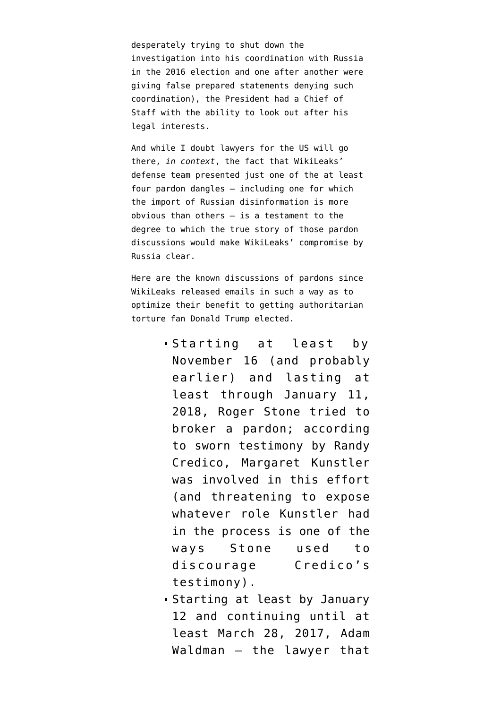desperately trying to shut down the investigation into his coordination with Russia in the 2016 election and one after another were giving false prepared statements denying such coordination), the President had a Chief of Staff with the ability to look out after his legal interests.

And while I doubt lawyers for the US will go there, *in context*, the fact that WikiLeaks' defense team presented just one of the at least four pardon dangles — including one for which the import of Russian disinformation is more obvious than others — is a testament to the degree to which the true story of those pardon discussions would make WikiLeaks' compromise by Russia clear.

Here are the known discussions of pardons since WikiLeaks released emails in such a way as to optimize their benefit to getting authoritarian torture fan Donald Trump elected.

- Starting [at least by](https://www.emptywheel.net/2020/04/29/seven-days-after-julian-assange-helped-trump-win-roger-stone-started-working-on-a-pardon/) [November 16](https://www.emptywheel.net/2020/04/29/seven-days-after-julian-assange-helped-trump-win-roger-stone-started-working-on-a-pardon/) (and probably earlier) and lasting at least through January 11, 2018, Roger Stone tried to broker a pardon; according to sworn testimony by Randy Credico, Margaret Kunstler was involved in this effort (and threatening to expose whatever role Kunstler had in the process is one of the ways Stone used to discourage Credico's testimony).
- Starting [at least by January](https://thehill.com/opinion/white-house/394036-How-Comey-intervened-to-kill-Wikileaks-immunity-deal) [12](https://thehill.com/opinion/white-house/394036-How-Comey-intervened-to-kill-Wikileaks-immunity-deal) and continuing until at least March 28, 2017, Adam Waldman — the lawyer that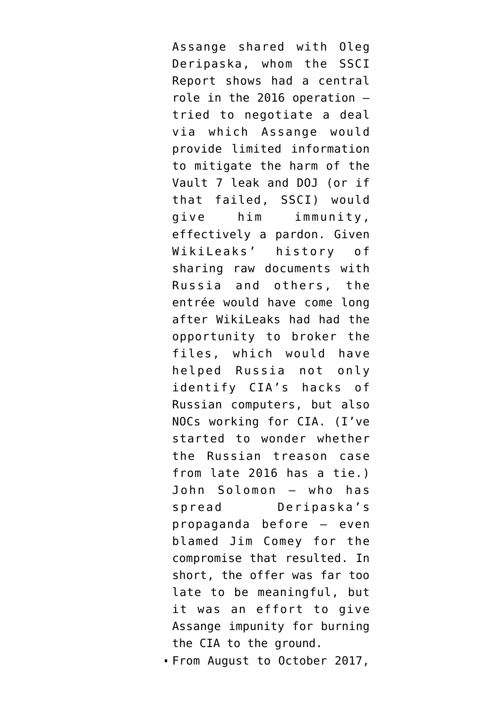Assange shared with Oleg Deripaska, whom [the SSCI](https://www.documentcloud.org/documents/7039357-200818-SSCI-Russia-Report.html) [Report](https://www.documentcloud.org/documents/7039357-200818-SSCI-Russia-Report.html) shows had a central role in the 2016 operation tried to negotiate a deal via which Assange would provide limited information to mitigate the harm of the Vault 7 leak and DOJ (or if that failed, SSCI) would give him immunity, effectively a pardon. Given WikiLeaks' history of sharing raw documents with Russia and others, the entrée would have come long after WikiLeaks had had the opportunity to broker the files, which would have helped Russia not only identify CIA's hacks of Russian computers, but also NOCs working for CIA. (I've started to wonder whether [the Russian treason case](https://www.emptywheel.net/2017/01/26/on-russian-treason/) from late 2016 has a tie.) John Solomon — who has spread Deripaska's propaganda before — even [blamed](https://thehill.com/opinion/white-house/394036-How-Comey-intervened-to-kill-Wikileaks-immunity-deal) Jim Comey for the compromise that resulted. In short, the offer was far too late to be meaningful, but it was an effort to give Assange impunity for burning the CIA to the ground.

From August to October 2017,